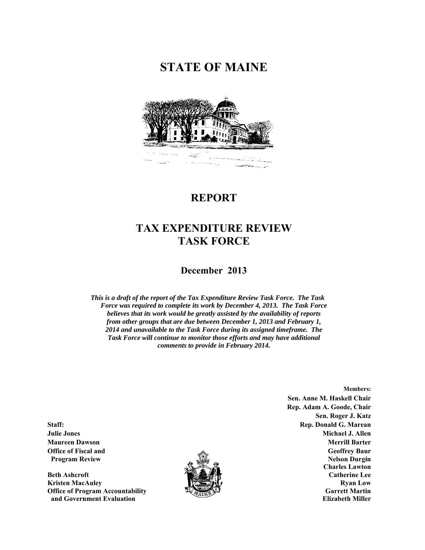# **STATE OF MAINE**



# **REPORT**

# **TAX EXPENDITURE REVIEW TASK FORCE**

## **December 2013**

*This is a draft of the report of the Tax Expenditure Review Task Force. The Task Force was required to complete its work by December 4, 2013. The Task Force believes that its work would be greatly assisted by the availability of reports from other groups that are due between December 1, 2013 and February 1, 2014 and unavailable to the Task Force during its assigned timeframe. The Task Force will continue to monitor those efforts and may have additional comments to provide in February 2014.* 

**Members: Sen. Anne M. Haskell Chair Rep. Adam A. Goode, Chair Sen. Roger J. Katz Staff:** Rep. Donald G. Marean **Rep. 2018 Julie Jones Michael J. Allen Maureen Dawson Merrill Barter Office of Fiscal and Geoffrey Baur**  Geoffrey Baur **Community Community Community Community Community Community Community Community Community Community Community Community Community Community Community Community Community Program Review 2.1 Contract of the Contract of the Contract of the Contract of the Contract of the Contract of the Contract of the Contract of the Contract of the Contract of the Contract of the Contract of the Contract o Charles Lawton Beth Ashcroft Catherine Lee 2018年(1999年) 全国公式選択衛**軍 インター・コンピュータ Catherine Lee

**Kristen MacAuley 2018 19:30 19:30 19:30 19:30 19:30 19:30 19:30 19:30 19:30 19:30 19:30 19:30 19:30 19:30 19:30 19:30 19:30 19:30 19:30 19:30 19:30 19:30 19:30 19:30 19:30 19:30 19:30 19:30 19:30 19:30 19:30 19:30 19:30 1 Office of Program Accountability Garrett Martin** Garrett Martin **Garrett Martin and Government Evaluation Elizabeth Miller Elizabeth Miller Elizabeth Miller** 

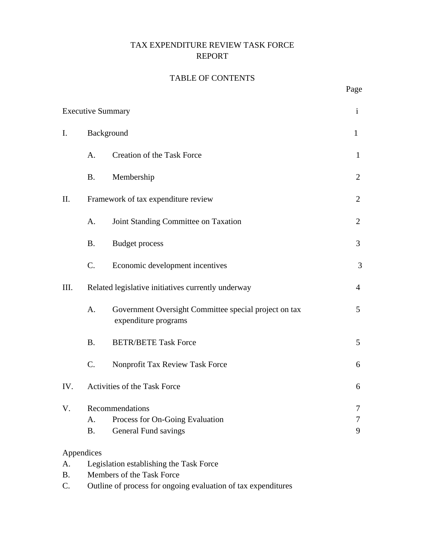## TAX EXPENDITURE REVIEW TASK FORCE REPORT

## TABLE OF CONTENTS

| <b>Executive Summary</b> |                                                    |                                                                               | $\mathbf{i}$   |
|--------------------------|----------------------------------------------------|-------------------------------------------------------------------------------|----------------|
| I.                       | Background<br>$\mathbf{1}$                         |                                                                               |                |
|                          | A.                                                 | Creation of the Task Force                                                    | $\mathbf{1}$   |
|                          | <b>B.</b>                                          | Membership                                                                    | $\overline{2}$ |
| II.                      |                                                    | Framework of tax expenditure review                                           | 2              |
|                          | A.                                                 | Joint Standing Committee on Taxation                                          | $\overline{2}$ |
|                          | <b>B.</b>                                          | <b>Budget process</b>                                                         | 3              |
|                          | $\mathcal{C}$ .                                    | Economic development incentives                                               | 3              |
| III.                     | Related legislative initiatives currently underway |                                                                               | $\overline{4}$ |
|                          | A.                                                 | Government Oversight Committee special project on tax<br>expenditure programs | 5              |
|                          | <b>B.</b>                                          | <b>BETR/BETE Task Force</b>                                                   | 5              |
|                          | $\mathcal{C}$ .                                    | Nonprofit Tax Review Task Force                                               | 6              |
| IV.                      | Activities of the Task Force                       |                                                                               | 6              |
| V.                       | A.<br><b>B.</b>                                    | Recommendations<br>Process for On-Going Evaluation<br>General Fund savings    | 7<br>7<br>9    |
| A.                       | Appendices                                         |                                                                               |                |
|                          | Legislation establishing the Task Force            |                                                                               |                |

- B. Members of the Task Force
- C. Outline of process for ongoing evaluation of tax expenditures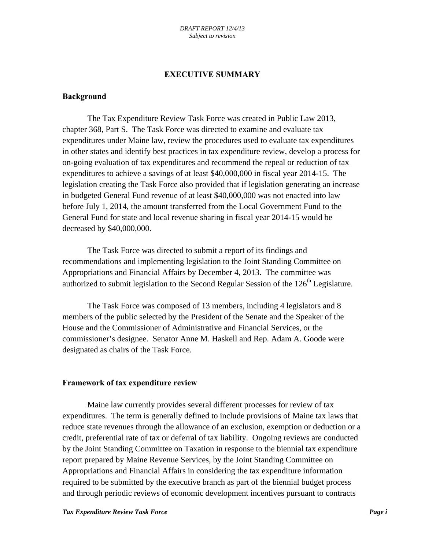### **EXECUTIVE SUMMARY**

#### **Background**

 The Tax Expenditure Review Task Force was created in Public Law 2013, chapter 368, Part S. The Task Force was directed to examine and evaluate tax expenditures under Maine law, review the procedures used to evaluate tax expenditures in other states and identify best practices in tax expenditure review, develop a process for on-going evaluation of tax expenditures and recommend the repeal or reduction of tax expenditures to achieve a savings of at least \$40,000,000 in fiscal year 2014-15. The legislation creating the Task Force also provided that if legislation generating an increase in budgeted General Fund revenue of at least \$40,000,000 was not enacted into law before July 1, 2014, the amount transferred from the Local Government Fund to the General Fund for state and local revenue sharing in fiscal year 2014-15 would be decreased by \$40,000,000.

 The Task Force was directed to submit a report of its findings and recommendations and implementing legislation to the Joint Standing Committee on Appropriations and Financial Affairs by December 4, 2013. The committee was authorized to submit legislation to the Second Regular Session of the  $126<sup>th</sup>$  Legislature.

 The Task Force was composed of 13 members, including 4 legislators and 8 members of the public selected by the President of the Senate and the Speaker of the House and the Commissioner of Administrative and Financial Services, or the commissioner's designee. Senator Anne M. Haskell and Rep. Adam A. Goode were designated as chairs of the Task Force.

#### **Framework of tax expenditure review**

 Maine law currently provides several different processes for review of tax expenditures. The term is generally defined to include provisions of Maine tax laws that reduce state revenues through the allowance of an exclusion, exemption or deduction or a credit, preferential rate of tax or deferral of tax liability. Ongoing reviews are conducted by the Joint Standing Committee on Taxation in response to the biennial tax expenditure report prepared by Maine Revenue Services, by the Joint Standing Committee on Appropriations and Financial Affairs in considering the tax expenditure information required to be submitted by the executive branch as part of the biennial budget process and through periodic reviews of economic development incentives pursuant to contracts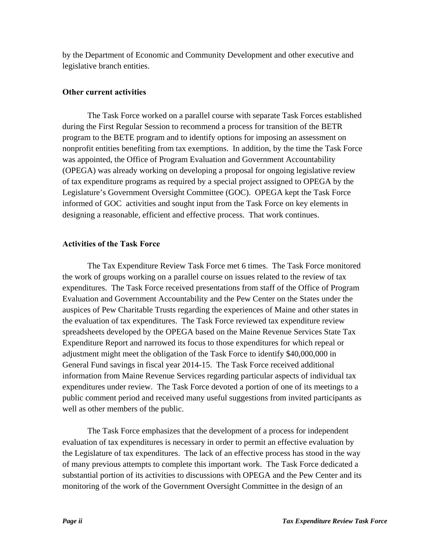by the Department of Economic and Community Development and other executive and legislative branch entities.

### **Other current activities**

 The Task Force worked on a parallel course with separate Task Forces established during the First Regular Session to recommend a process for transition of the BETR program to the BETE program and to identify options for imposing an assessment on nonprofit entities benefiting from tax exemptions. In addition, by the time the Task Force was appointed, the Office of Program Evaluation and Government Accountability (OPEGA) was already working on developing a proposal for ongoing legislative review of tax expenditure programs as required by a special project assigned to OPEGA by the Legislature's Government Oversight Committee (GOC). OPEGA kept the Task Force informed of GOC activities and sought input from the Task Force on key elements in designing a reasonable, efficient and effective process. That work continues.

### **Activities of the Task Force**

 The Tax Expenditure Review Task Force met 6 times. The Task Force monitored the work of groups working on a parallel course on issues related to the review of tax expenditures. The Task Force received presentations from staff of the Office of Program Evaluation and Government Accountability and the Pew Center on the States under the auspices of Pew Charitable Trusts regarding the experiences of Maine and other states in the evaluation of tax expenditures. The Task Force reviewed tax expenditure review spreadsheets developed by the OPEGA based on the Maine Revenue Services State Tax Expenditure Report and narrowed its focus to those expenditures for which repeal or adjustment might meet the obligation of the Task Force to identify \$40,000,000 in General Fund savings in fiscal year 2014-15. The Task Force received additional information from Maine Revenue Services regarding particular aspects of individual tax expenditures under review. The Task Force devoted a portion of one of its meetings to a public comment period and received many useful suggestions from invited participants as well as other members of the public.

 The Task Force emphasizes that the development of a process for independent evaluation of tax expenditures is necessary in order to permit an effective evaluation by the Legislature of tax expenditures. The lack of an effective process has stood in the way of many previous attempts to complete this important work. The Task Force dedicated a substantial portion of its activities to discussions with OPEGA and the Pew Center and its monitoring of the work of the Government Oversight Committee in the design of an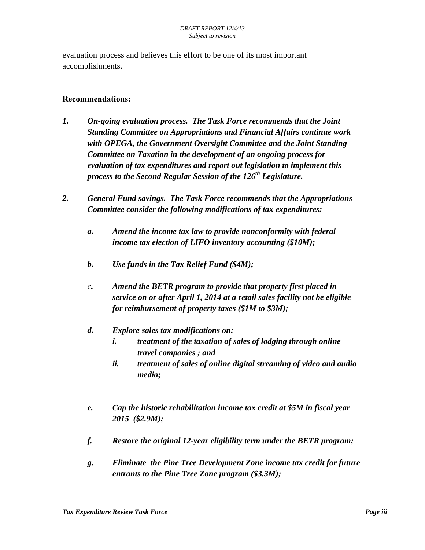evaluation process and believes this effort to be one of its most important accomplishments.

### **Recommendations:**

- *1. On-going evaluation process. The Task Force recommends that the Joint Standing Committee on Appropriations and Financial Affairs continue work with OPEGA, the Government Oversight Committee and the Joint Standing Committee on Taxation in the development of an ongoing process for evaluation of tax expenditures and report out legislation to implement this process to the Second Regular Session of the 126th Legislature.*
- *2. General Fund savings. The Task Force recommends that the Appropriations Committee consider the following modifications of tax expenditures:* 
	- *a. Amend the income tax law to provide nonconformity with federal income tax election of LIFO inventory accounting (\$10M);*
	- *b. Use funds in the Tax Relief Fund (\$4M);*
	- *c. Amend the BETR program to provide that property first placed in service on or after April 1, 2014 at a retail sales facility not be eligible for reimbursement of property taxes (\$1M to \$3M);*

## *d. Explore sales tax modifications on:*

- *i. treatment of the taxation of sales of lodging through online travel companies ; and*
- *ii. treatment of sales of online digital streaming of video and audio media;*
- *e. Cap the historic rehabilitation income tax credit at \$5M in fiscal year 2015 (\$2.9M);*
- *f. Restore the original 12-year eligibility term under the BETR program;*
- *g. Eliminate the Pine Tree Development Zone income tax credit for future entrants to the Pine Tree Zone program (\$3.3M);*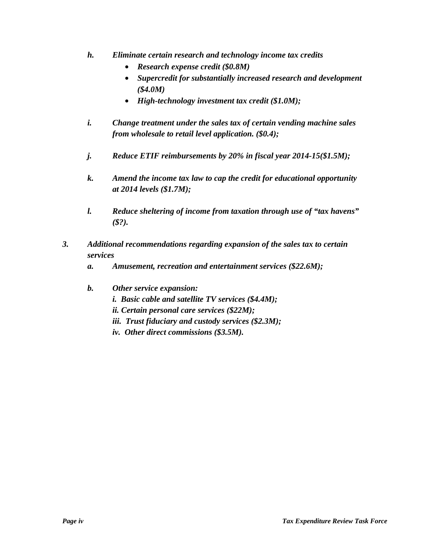- *h. Eliminate certain research and technology income tax credits* 
	- *Research expense credit (\$0.8M)*
	- *Supercredit for substantially increased research and development (\$4.0M)*
	- *High-technology investment tax credit (\$1.0M);*
- *i. Change treatment under the sales tax of certain vending machine sales from wholesale to retail level application. (\$0.4);*
- *j. Reduce ETIF reimbursements by 20% in fiscal year 2014-15(\$1.5M);*
- *k. Amend the income tax law to cap the credit for educational opportunity at 2014 levels (\$1.7M);*
- *l. Reduce sheltering of income from taxation through use of "tax havens" (\$?).*
- *3. Additional recommendations regarding expansion of the sales tax to certain services* 
	- *a. Amusement, recreation and entertainment services (\$22.6M);*
	- *b. Other service expansion:* 
		- *i. Basic cable and satellite TV services (\$4.4M);*
		- *ii. Certain personal care services (\$22M);*
		- *iii. Trust fiduciary and custody services (\$2.3M);*
		- *iv. Other direct commissions (\$3.5M).*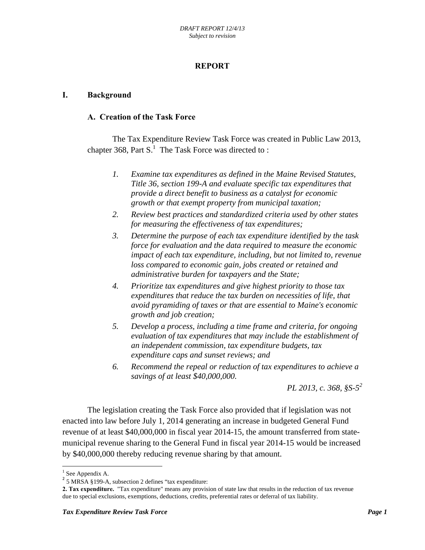## **REPORT**

#### **I. Background**

#### **A. Creation of the Task Force**

 The Tax Expenditure Review Task Force was created in Public Law 2013, chapter 368, Part  $S<sup>1</sup>$ . The Task Force was directed to :

- *1. Examine tax expenditures as defined in the Maine Revised Statutes, Title 36, section 199-A and evaluate specific tax expenditures that provide a direct benefit to business as a catalyst for economic growth or that exempt property from municipal taxation;*
- *2. Review best practices and standardized criteria used by other states for measuring the effectiveness of tax expenditures;*
- *3. Determine the purpose of each tax expenditure identified by the task force for evaluation and the data required to measure the economic impact of each tax expenditure, including, but not limited to, revenue loss compared to economic gain, jobs created or retained and administrative burden for taxpayers and the State;*
- *4. Prioritize tax expenditures and give highest priority to those tax expenditures that reduce the tax burden on necessities of life, that avoid pyramiding of taxes or that are essential to Maine's economic growth and job creation;*
- *5. Develop a process, including a time frame and criteria, for ongoing evaluation of tax expenditures that may include the establishment of an independent commission, tax expenditure budgets, tax expenditure caps and sunset reviews; and*
- *6. Recommend the repeal or reduction of tax expenditures to achieve a savings of at least \$40,000,000.*

*PL 2013, c. 368, §S-52*

 The legislation creating the Task Force also provided that if legislation was not enacted into law before July 1, 2014 generating an increase in budgeted General Fund revenue of at least \$40,000,000 in fiscal year 2014-15, the amount transferred from statemunicipal revenue sharing to the General Fund in fiscal year 2014-15 would be increased by \$40,000,000 thereby reducing revenue sharing by that amount.

 $\overline{\phantom{a}}$ 

<sup>&</sup>lt;sup>1</sup> See Appendix A.

<sup>&</sup>lt;sup>2</sup> 5 MRSA §199-A, subsection 2 defines "tax expenditure:

**<sup>2.</sup> Tax expenditure.** "Tax expenditure" means any provision of state law that results in the reduction of tax revenue due to special exclusions, exemptions, deductions, credits, preferential rates or deferral of tax liability.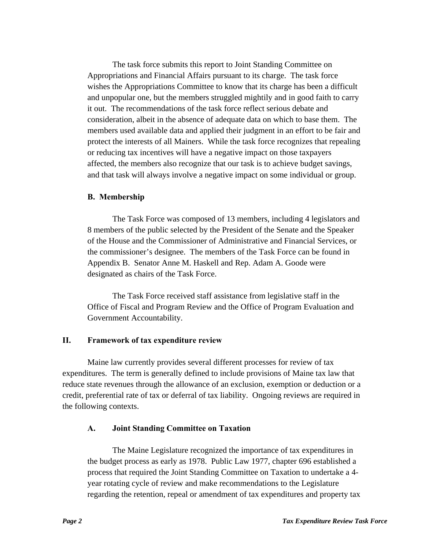The task force submits this report to Joint Standing Committee on Appropriations and Financial Affairs pursuant to its charge. The task force wishes the Appropriations Committee to know that its charge has been a difficult and unpopular one, but the members struggled mightily and in good faith to carry it out. The recommendations of the task force reflect serious debate and consideration, albeit in the absence of adequate data on which to base them. The members used available data and applied their judgment in an effort to be fair and protect the interests of all Mainers. While the task force recognizes that repealing or reducing tax incentives will have a negative impact on those taxpayers affected, the members also recognize that our task is to achieve budget savings, and that task will always involve a negative impact on some individual or group.

#### **B. Membership**

 The Task Force was composed of 13 members, including 4 legislators and 8 members of the public selected by the President of the Senate and the Speaker of the House and the Commissioner of Administrative and Financial Services, or the commissioner's designee. The members of the Task Force can be found in Appendix B. Senator Anne M. Haskell and Rep. Adam A. Goode were designated as chairs of the Task Force.

 The Task Force received staff assistance from legislative staff in the Office of Fiscal and Program Review and the Office of Program Evaluation and Government Accountability.

#### **II. Framework of tax expenditure review**

 Maine law currently provides several different processes for review of tax expenditures. The term is generally defined to include provisions of Maine tax law that reduce state revenues through the allowance of an exclusion, exemption or deduction or a credit, preferential rate of tax or deferral of tax liability. Ongoing reviews are required in the following contexts.

#### **A. Joint Standing Committee on Taxation**

 The Maine Legislature recognized the importance of tax expenditures in the budget process as early as 1978. Public Law 1977, chapter 696 established a process that required the Joint Standing Committee on Taxation to undertake a 4 year rotating cycle of review and make recommendations to the Legislature regarding the retention, repeal or amendment of tax expenditures and property tax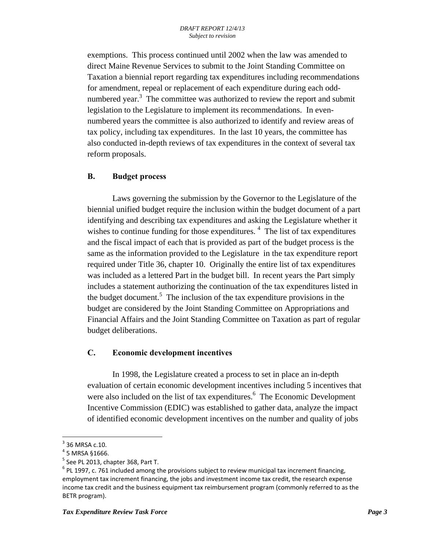exemptions. This process continued until 2002 when the law was amended to direct Maine Revenue Services to submit to the Joint Standing Committee on Taxation a biennial report regarding tax expenditures including recommendations for amendment, repeal or replacement of each expenditure during each oddnumbered year.<sup>3</sup> The committee was authorized to review the report and submit legislation to the Legislature to implement its recommendations. In evennumbered years the committee is also authorized to identify and review areas of tax policy, including tax expenditures. In the last 10 years, the committee has also conducted in-depth reviews of tax expenditures in the context of several tax reform proposals.

### **B. Budget process**

 Laws governing the submission by the Governor to the Legislature of the biennial unified budget require the inclusion within the budget document of a part identifying and describing tax expenditures and asking the Legislature whether it wishes to continue funding for those expenditures.  $4$  The list of tax expenditures and the fiscal impact of each that is provided as part of the budget process is the same as the information provided to the Legislature in the tax expenditure report required under Title 36, chapter 10. Originally the entire list of tax expenditures was included as a lettered Part in the budget bill. In recent years the Part simply includes a statement authorizing the continuation of the tax expenditures listed in the budget document.<sup>5</sup> The inclusion of the tax expenditure provisions in the budget are considered by the Joint Standing Committee on Appropriations and Financial Affairs and the Joint Standing Committee on Taxation as part of regular budget deliberations.

## **C. Economic development incentives**

 In 1998, the Legislature created a process to set in place an in-depth evaluation of certain economic development incentives including 5 incentives that were also included on the list of tax expenditures.<sup>6</sup> The Economic Development Incentive Commission (EDIC) was established to gather data, analyze the impact of identified economic development incentives on the number and quality of jobs

 $\overline{\phantom{a}}$ 3 36 MRSA c.10.

 $4$  5 MRSA §1666.

 $<sup>5</sup>$  See PL 2013, chapter 368, Part T.</sup>

 $<sup>6</sup>$  PL 1997, c. 761 included among the provisions subject to review municipal tax increment financing,</sup> employment tax increment financing, the jobs and investment income tax credit, the research expense income tax credit and the business equipment tax reimbursement program (commonly referred to as the BETR program).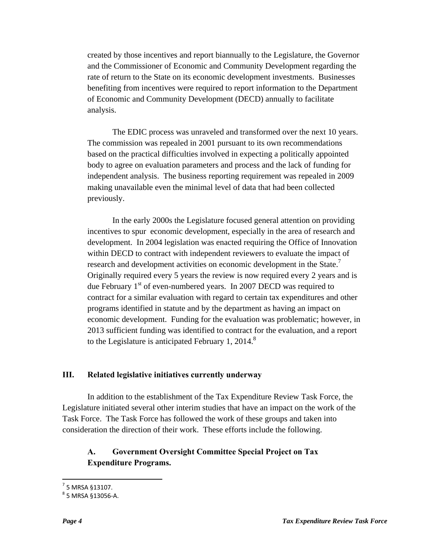created by those incentives and report biannually to the Legislature, the Governor and the Commissioner of Economic and Community Development regarding the rate of return to the State on its economic development investments. Businesses benefiting from incentives were required to report information to the Department of Economic and Community Development (DECD) annually to facilitate analysis.

 The EDIC process was unraveled and transformed over the next 10 years. The commission was repealed in 2001 pursuant to its own recommendations based on the practical difficulties involved in expecting a politically appointed body to agree on evaluation parameters and process and the lack of funding for independent analysis. The business reporting requirement was repealed in 2009 making unavailable even the minimal level of data that had been collected previously.

 In the early 2000s the Legislature focused general attention on providing incentives to spur economic development, especially in the area of research and development. In 2004 legislation was enacted requiring the Office of Innovation within DECD to contract with independent reviewers to evaluate the impact of research and development activities on economic development in the State.<sup>7</sup> Originally required every 5 years the review is now required every 2 years and is due February 1<sup>st</sup> of even-numbered years. In 2007 DECD was required to contract for a similar evaluation with regard to certain tax expenditures and other programs identified in statute and by the department as having an impact on economic development. Funding for the evaluation was problematic; however, in 2013 sufficient funding was identified to contract for the evaluation, and a report to the Legislature is anticipated February 1, 2014.<sup>8</sup>

### **III. Related legislative initiatives currently underway**

 In addition to the establishment of the Tax Expenditure Review Task Force, the Legislature initiated several other interim studies that have an impact on the work of the Task Force. The Task Force has followed the work of these groups and taken into consideration the direction of their work. These efforts include the following.

### **A. Government Oversight Committee Special Project on Tax Expenditure Programs.**

 7 5 MRSA §13107.

 $^8$  5 MRSA §13056-A.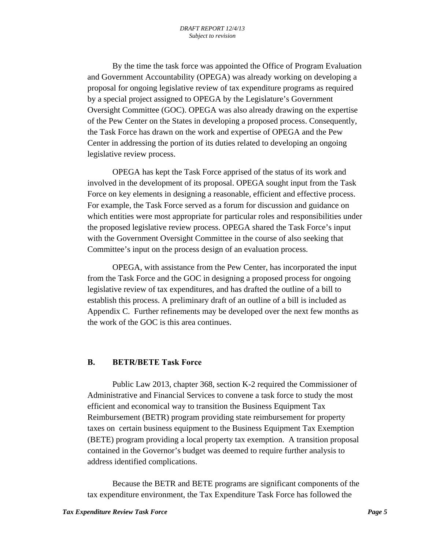By the time the task force was appointed the Office of Program Evaluation and Government Accountability (OPEGA) was already working on developing a proposal for ongoing legislative review of tax expenditure programs as required by a special project assigned to OPEGA by the Legislature's Government Oversight Committee (GOC). OPEGA was also already drawing on the expertise of the Pew Center on the States in developing a proposed process. Consequently, the Task Force has drawn on the work and expertise of OPEGA and the Pew Center in addressing the portion of its duties related to developing an ongoing legislative review process.

 OPEGA has kept the Task Force apprised of the status of its work and involved in the development of its proposal. OPEGA sought input from the Task Force on key elements in designing a reasonable, efficient and effective process. For example, the Task Force served as a forum for discussion and guidance on which entities were most appropriate for particular roles and responsibilities under the proposed legislative review process. OPEGA shared the Task Force's input with the Government Oversight Committee in the course of also seeking that Committee's input on the process design of an evaluation process.

 OPEGA, with assistance from the Pew Center, has incorporated the input from the Task Force and the GOC in designing a proposed process for ongoing legislative review of tax expenditures, and has drafted the outline of a bill to establish this process. A preliminary draft of an outline of a bill is included as Appendix C. Further refinements may be developed over the next few months as the work of the GOC is this area continues.

#### **B. BETR/BETE Task Force**

 Public Law 2013, chapter 368, section K-2 required the Commissioner of Administrative and Financial Services to convene a task force to study the most efficient and economical way to transition the Business Equipment Tax Reimbursement (BETR) program providing state reimbursement for property taxes on certain business equipment to the Business Equipment Tax Exemption (BETE) program providing a local property tax exemption. A transition proposal contained in the Governor's budget was deemed to require further analysis to address identified complications.

 Because the BETR and BETE programs are significant components of the tax expenditure environment, the Tax Expenditure Task Force has followed the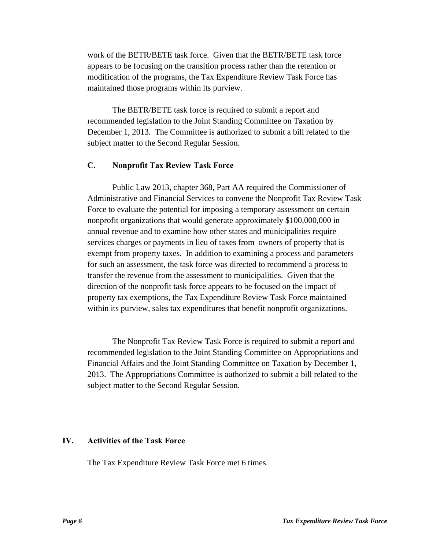work of the BETR/BETE task force. Given that the BETR/BETE task force appears to be focusing on the transition process rather than the retention or modification of the programs, the Tax Expenditure Review Task Force has maintained those programs within its purview.

 The BETR/BETE task force is required to submit a report and recommended legislation to the Joint Standing Committee on Taxation by December 1, 2013. The Committee is authorized to submit a bill related to the subject matter to the Second Regular Session.

### **C. Nonprofit Tax Review Task Force**

 Public Law 2013, chapter 368, Part AA required the Commissioner of Administrative and Financial Services to convene the Nonprofit Tax Review Task Force to evaluate the potential for imposing a temporary assessment on certain nonprofit organizations that would generate approximately \$100,000,000 in annual revenue and to examine how other states and municipalities require services charges or payments in lieu of taxes from owners of property that is exempt from property taxes. In addition to examining a process and parameters for such an assessment, the task force was directed to recommend a process to transfer the revenue from the assessment to municipalities. Given that the direction of the nonprofit task force appears to be focused on the impact of property tax exemptions, the Tax Expenditure Review Task Force maintained within its purview, sales tax expenditures that benefit nonprofit organizations.

 The Nonprofit Tax Review Task Force is required to submit a report and recommended legislation to the Joint Standing Committee on Appropriations and Financial Affairs and the Joint Standing Committee on Taxation by December 1, 2013. The Appropriations Committee is authorized to submit a bill related to the subject matter to the Second Regular Session.

### **IV. Activities of the Task Force**

The Tax Expenditure Review Task Force met 6 times.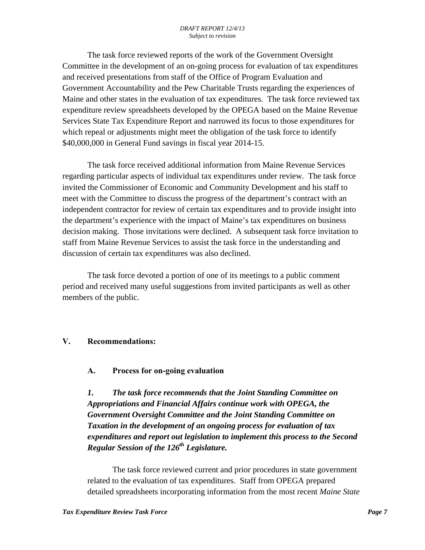The task force reviewed reports of the work of the Government Oversight Committee in the development of an on-going process for evaluation of tax expenditures and received presentations from staff of the Office of Program Evaluation and Government Accountability and the Pew Charitable Trusts regarding the experiences of Maine and other states in the evaluation of tax expenditures. The task force reviewed tax expenditure review spreadsheets developed by the OPEGA based on the Maine Revenue Services State Tax Expenditure Report and narrowed its focus to those expenditures for which repeal or adjustments might meet the obligation of the task force to identify \$40,000,000 in General Fund savings in fiscal year 2014-15.

 The task force received additional information from Maine Revenue Services regarding particular aspects of individual tax expenditures under review. The task force invited the Commissioner of Economic and Community Development and his staff to meet with the Committee to discuss the progress of the department's contract with an independent contractor for review of certain tax expenditures and to provide insight into the department's experience with the impact of Maine's tax expenditures on business decision making. Those invitations were declined. A subsequent task force invitation to staff from Maine Revenue Services to assist the task force in the understanding and discussion of certain tax expenditures was also declined.

 The task force devoted a portion of one of its meetings to a public comment period and received many useful suggestions from invited participants as well as other members of the public.

## **V. Recommendations:**

## **A. Process for on-going evaluation**

*1. The task force recommends that the Joint Standing Committee on Appropriations and Financial Affairs continue work with OPEGA, the Government Oversight Committee and the Joint Standing Committee on Taxation in the development of an ongoing process for evaluation of tax expenditures and report out legislation to implement this process to the Second Regular Session of the 126th Legislature.* 

 The task force reviewed current and prior procedures in state government related to the evaluation of tax expenditures. Staff from OPEGA prepared detailed spreadsheets incorporating information from the most recent *Maine State*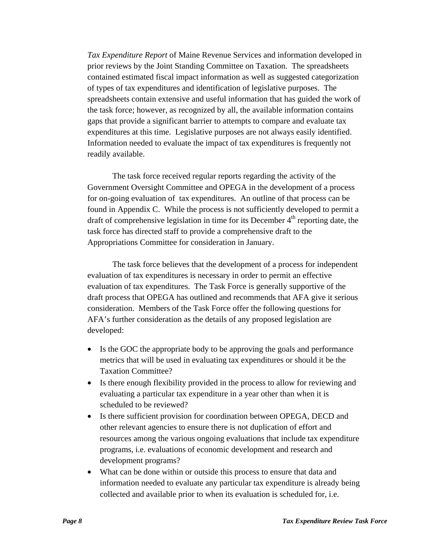*Tax Expenditure Report* of Maine Revenue Services and information developed in prior reviews by the Joint Standing Committee on Taxation. The spreadsheets contained estimated fiscal impact information as well as suggested categorization of types of tax expenditures and identification of legislative purposes. The spreadsheets contain extensive and useful information that has guided the work of the task force; however, as recognized by all, the available information contains gaps that provide a significant barrier to attempts to compare and evaluate tax expenditures at this time. Legislative purposes are not always easily identified. Information needed to evaluate the impact of tax expenditures is frequently not readily available.

 The task force received regular reports regarding the activity of the Government Oversight Committee and OPEGA in the development of a process for on-going evaluation of tax expenditures. An outline of that process can be found in Appendix C. While the process is not sufficiently developed to permit a draft of comprehensive legislation in time for its December  $4<sup>th</sup>$  reporting date, the task force has directed staff to provide a comprehensive draft to the Appropriations Committee for consideration in January.

 The task force believes that the development of a process for independent evaluation of tax expenditures is necessary in order to permit an effective evaluation of tax expenditures. The Task Force is generally supportive of the draft process that OPEGA has outlined and recommends that AFA give it serious consideration. Members of the Task Force offer the following questions for AFA's further consideration as the details of any proposed legislation are developed:

- Is the GOC the appropriate body to be approving the goals and performance metrics that will be used in evaluating tax expenditures or should it be the Taxation Committee?
- Is there enough flexibility provided in the process to allow for reviewing and evaluating a particular tax expenditure in a year other than when it is scheduled to be reviewed?
- Is there sufficient provision for coordination between OPEGA, DECD and other relevant agencies to ensure there is not duplication of effort and resources among the various ongoing evaluations that include tax expenditure programs, i.e. evaluations of economic development and research and development programs?
- What can be done within or outside this process to ensure that data and information needed to evaluate any particular tax expenditure is already being collected and available prior to when its evaluation is scheduled for, i.e.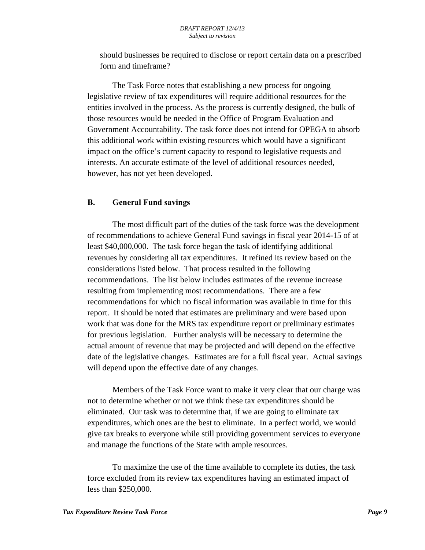should businesses be required to disclose or report certain data on a prescribed form and timeframe?

 The Task Force notes that establishing a new process for ongoing legislative review of tax expenditures will require additional resources for the entities involved in the process. As the process is currently designed, the bulk of those resources would be needed in the Office of Program Evaluation and Government Accountability. The task force does not intend for OPEGA to absorb this additional work within existing resources which would have a significant impact on the office's current capacity to respond to legislative requests and interests. An accurate estimate of the level of additional resources needed, however, has not yet been developed.

#### **B. General Fund savings**

 The most difficult part of the duties of the task force was the development of recommendations to achieve General Fund savings in fiscal year 2014-15 of at least \$40,000,000. The task force began the task of identifying additional revenues by considering all tax expenditures. It refined its review based on the considerations listed below. That process resulted in the following recommendations. The list below includes estimates of the revenue increase resulting from implementing most recommendations. There are a few recommendations for which no fiscal information was available in time for this report. It should be noted that estimates are preliminary and were based upon work that was done for the MRS tax expenditure report or preliminary estimates for previous legislation. Further analysis will be necessary to determine the actual amount of revenue that may be projected and will depend on the effective date of the legislative changes. Estimates are for a full fiscal year. Actual savings will depend upon the effective date of any changes.

 Members of the Task Force want to make it very clear that our charge was not to determine whether or not we think these tax expenditures should be eliminated. Our task was to determine that, if we are going to eliminate tax expenditures, which ones are the best to eliminate. In a perfect world, we would give tax breaks to everyone while still providing government services to everyone and manage the functions of the State with ample resources.

 To maximize the use of the time available to complete its duties, the task force excluded from its review tax expenditures having an estimated impact of less than \$250,000.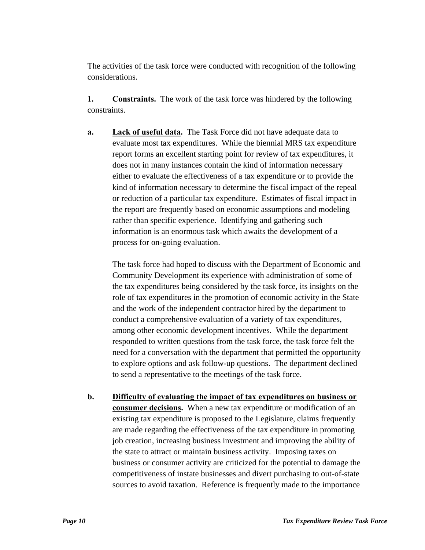The activities of the task force were conducted with recognition of the following considerations.

**1. Constraints.** The work of the task force was hindered by the following constraints.

**a. Lack of useful data.** The Task Force did not have adequate data to evaluate most tax expenditures. While the biennial MRS tax expenditure report forms an excellent starting point for review of tax expenditures, it does not in many instances contain the kind of information necessary either to evaluate the effectiveness of a tax expenditure or to provide the kind of information necessary to determine the fiscal impact of the repeal or reduction of a particular tax expenditure. Estimates of fiscal impact in the report are frequently based on economic assumptions and modeling rather than specific experience. Identifying and gathering such information is an enormous task which awaits the development of a process for on-going evaluation.

The task force had hoped to discuss with the Department of Economic and Community Development its experience with administration of some of the tax expenditures being considered by the task force, its insights on the role of tax expenditures in the promotion of economic activity in the State and the work of the independent contractor hired by the department to conduct a comprehensive evaluation of a variety of tax expenditures, among other economic development incentives. While the department responded to written questions from the task force, the task force felt the need for a conversation with the department that permitted the opportunity to explore options and ask follow-up questions. The department declined to send a representative to the meetings of the task force.

**b. Difficulty of evaluating the impact of tax expenditures on business or consumer decisions.** When a new tax expenditure or modification of an existing tax expenditure is proposed to the Legislature, claims frequently are made regarding the effectiveness of the tax expenditure in promoting job creation, increasing business investment and improving the ability of the state to attract or maintain business activity. Imposing taxes on business or consumer activity are criticized for the potential to damage the competitiveness of instate businesses and divert purchasing to out-of-state sources to avoid taxation. Reference is frequently made to the importance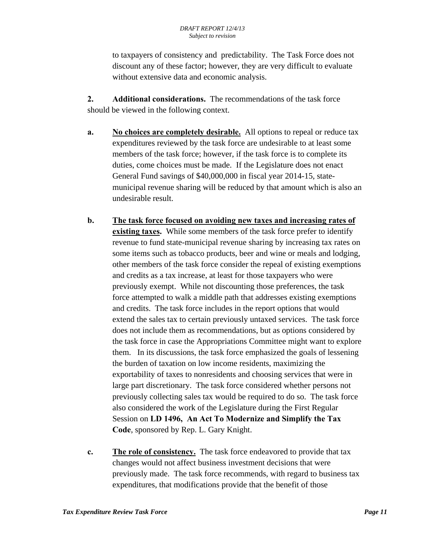to taxpayers of consistency and predictability. The Task Force does not discount any of these factor; however, they are very difficult to evaluate without extensive data and economic analysis.

**2. Additional considerations.** The recommendations of the task force should be viewed in the following context.

- **a. No choices are completely desirable.** All options to repeal or reduce tax expenditures reviewed by the task force are undesirable to at least some members of the task force; however, if the task force is to complete its duties, come choices must be made. If the Legislature does not enact General Fund savings of \$40,000,000 in fiscal year 2014-15, statemunicipal revenue sharing will be reduced by that amount which is also an undesirable result.
- **b. The task force focused on avoiding new taxes and increasing rates of existing taxes.** While some members of the task force prefer to identify revenue to fund state-municipal revenue sharing by increasing tax rates on some items such as tobacco products, beer and wine or meals and lodging, other members of the task force consider the repeal of existing exemptions and credits as a tax increase, at least for those taxpayers who were previously exempt. While not discounting those preferences, the task force attempted to walk a middle path that addresses existing exemptions and credits. The task force includes in the report options that would extend the sales tax to certain previously untaxed services. The task force does not include them as recommendations, but as options considered by the task force in case the Appropriations Committee might want to explore them. In its discussions, the task force emphasized the goals of lessening the burden of taxation on low income residents, maximizing the exportability of taxes to nonresidents and choosing services that were in large part discretionary. The task force considered whether persons not previously collecting sales tax would be required to do so. The task force also considered the work of the Legislature during the First Regular Session on **LD 1496, An Act To Modernize and Simplify the Tax Code**, sponsored by Rep. L. Gary Knight.
- **c. The role of consistency.** The task force endeavored to provide that tax changes would not affect business investment decisions that were previously made. The task force recommends, with regard to business tax expenditures, that modifications provide that the benefit of those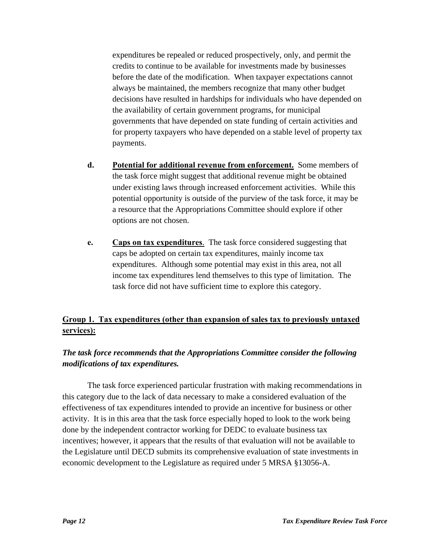expenditures be repealed or reduced prospectively, only, and permit the credits to continue to be available for investments made by businesses before the date of the modification. When taxpayer expectations cannot always be maintained, the members recognize that many other budget decisions have resulted in hardships for individuals who have depended on the availability of certain government programs, for municipal governments that have depended on state funding of certain activities and for property taxpayers who have depended on a stable level of property tax payments.

- **d. Potential for additional revenue from enforcement.** Some members of the task force might suggest that additional revenue might be obtained under existing laws through increased enforcement activities. While this potential opportunity is outside of the purview of the task force, it may be a resource that the Appropriations Committee should explore if other options are not chosen.
- **e. Caps on tax expenditures**. The task force considered suggesting that caps be adopted on certain tax expenditures, mainly income tax expenditures. Although some potential may exist in this area, not all income tax expenditures lend themselves to this type of limitation. The task force did not have sufficient time to explore this category.

## **Group 1. Tax expenditures (other than expansion of sales tax to previously untaxed services):**

## *The task force recommends that the Appropriations Committee consider the following modifications of tax expenditures.*

 The task force experienced particular frustration with making recommendations in this category due to the lack of data necessary to make a considered evaluation of the effectiveness of tax expenditures intended to provide an incentive for business or other activity. It is in this area that the task force especially hoped to look to the work being done by the independent contractor working for DEDC to evaluate business tax incentives; however, it appears that the results of that evaluation will not be available to the Legislature until DECD submits its comprehensive evaluation of state investments in economic development to the Legislature as required under 5 MRSA §13056-A.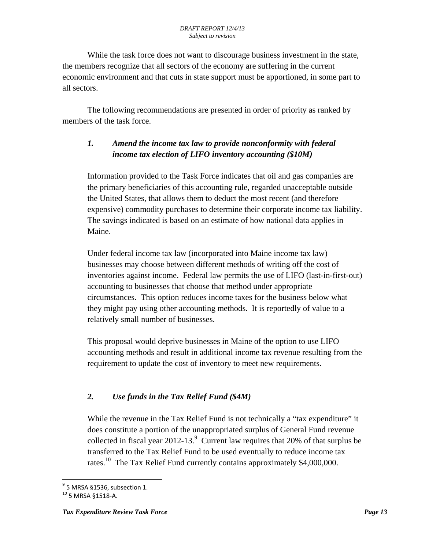While the task force does not want to discourage business investment in the state, the members recognize that all sectors of the economy are suffering in the current economic environment and that cuts in state support must be apportioned, in some part to all sectors.

The following recommendations are presented in order of priority as ranked by members of the task force.

## *1. Amend the income tax law to provide nonconformity with federal income tax election of LIFO inventory accounting (\$10M)*

Information provided to the Task Force indicates that oil and gas companies are the primary beneficiaries of this accounting rule, regarded unacceptable outside the United States, that allows them to deduct the most recent (and therefore expensive) commodity purchases to determine their corporate income tax liability. The savings indicated is based on an estimate of how national data applies in Maine.

Under federal income tax law (incorporated into Maine income tax law) businesses may choose between different methods of writing off the cost of inventories against income. Federal law permits the use of LIFO (last-in-first-out) accounting to businesses that choose that method under appropriate circumstances. This option reduces income taxes for the business below what they might pay using other accounting methods. It is reportedly of value to a relatively small number of businesses.

This proposal would deprive businesses in Maine of the option to use LIFO accounting methods and result in additional income tax revenue resulting from the requirement to update the cost of inventory to meet new requirements.

## *2. Use funds in the Tax Relief Fund (\$4M)*

While the revenue in the Tax Relief Fund is not technically a "tax expenditure" it does constitute a portion of the unappropriated surplus of General Fund revenue collected in fiscal year 2012-13. $^9$  Current law requires that 20% of that surplus be transferred to the Tax Relief Fund to be used eventually to reduce income tax rates.<sup>10</sup> The Tax Relief Fund currently contains approximately \$4,000,000.

 9 5 MRSA §1536, subsection 1.

<sup>10 5</sup> MRSA §1518-A.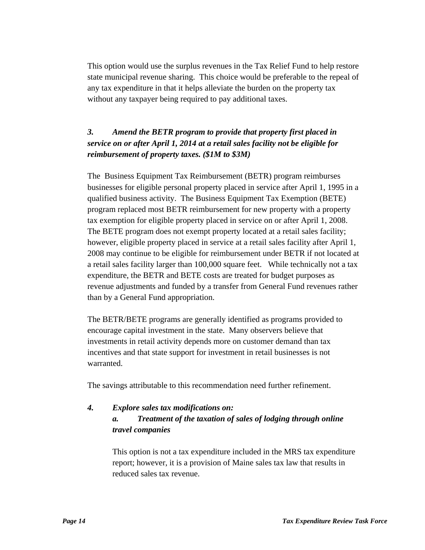This option would use the surplus revenues in the Tax Relief Fund to help restore state municipal revenue sharing. This choice would be preferable to the repeal of any tax expenditure in that it helps alleviate the burden on the property tax without any taxpayer being required to pay additional taxes.

## *3. Amend the BETR program to provide that property first placed in service on or after April 1, 2014 at a retail sales facility not be eligible for reimbursement of property taxes. (\$1M to \$3M)*

The Business Equipment Tax Reimbursement (BETR) program reimburses businesses for eligible personal property placed in service after April 1, 1995 in a qualified business activity. The Business Equipment Tax Exemption (BETE) program replaced most BETR reimbursement for new property with a property tax exemption for eligible property placed in service on or after April 1, 2008. The BETE program does not exempt property located at a retail sales facility; however, eligible property placed in service at a retail sales facility after April 1, 2008 may continue to be eligible for reimbursement under BETR if not located at a retail sales facility larger than 100,000 square feet. While technically not a tax expenditure, the BETR and BETE costs are treated for budget purposes as revenue adjustments and funded by a transfer from General Fund revenues rather than by a General Fund appropriation.

The BETR/BETE programs are generally identified as programs provided to encourage capital investment in the state. Many observers believe that investments in retail activity depends more on customer demand than tax incentives and that state support for investment in retail businesses is not warranted.

The savings attributable to this recommendation need further refinement.

## *4. Explore sales tax modifications on: a. Treatment of the taxation of sales of lodging through online travel companies*

This option is not a tax expenditure included in the MRS tax expenditure report; however, it is a provision of Maine sales tax law that results in reduced sales tax revenue.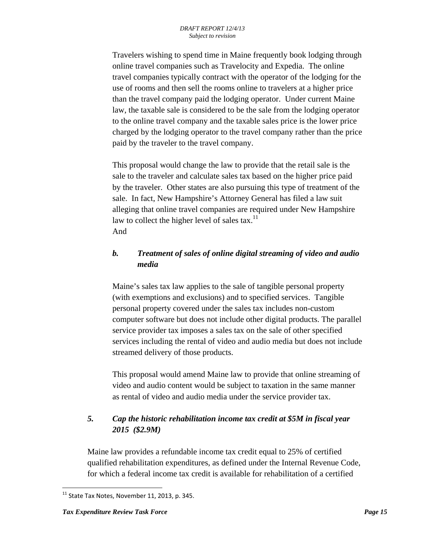Travelers wishing to spend time in Maine frequently book lodging through online travel companies such as Travelocity and Expedia. The online travel companies typically contract with the operator of the lodging for the use of rooms and then sell the rooms online to travelers at a higher price than the travel company paid the lodging operator. Under current Maine law, the taxable sale is considered to be the sale from the lodging operator to the online travel company and the taxable sales price is the lower price charged by the lodging operator to the travel company rather than the price paid by the traveler to the travel company.

This proposal would change the law to provide that the retail sale is the sale to the traveler and calculate sales tax based on the higher price paid by the traveler. Other states are also pursuing this type of treatment of the sale. In fact, New Hampshire's Attorney General has filed a law suit alleging that online travel companies are required under New Hampshire law to collect the higher level of sales tax.<sup>11</sup> And

## *b. Treatment of sales of online digital streaming of video and audio media*

Maine's sales tax law applies to the sale of tangible personal property (with exemptions and exclusions) and to specified services. Tangible personal property covered under the sales tax includes non-custom computer software but does not include other digital products. The parallel service provider tax imposes a sales tax on the sale of other specified services including the rental of video and audio media but does not include streamed delivery of those products.

This proposal would amend Maine law to provide that online streaming of video and audio content would be subject to taxation in the same manner as rental of video and audio media under the service provider tax.

## *5. Cap the historic rehabilitation income tax credit at \$5M in fiscal year 2015 (\$2.9M)*

Maine law provides a refundable income tax credit equal to 25% of certified qualified rehabilitation expenditures, as defined under the Internal Revenue Code, for which a federal income tax credit is available for rehabilitation of a certified

 $\overline{\phantom{a}}$  $11$  State Tax Notes, November 11, 2013, p. 345.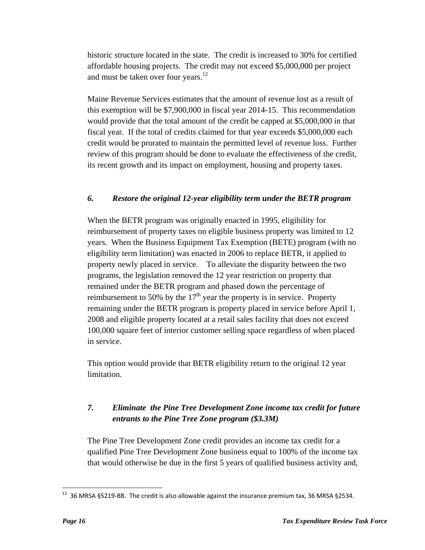historic structure located in the state. The credit is increased to 30% for certified affordable housing projects. The credit may not exceed \$5,000,000 per project and must be taken over four years. $^{12}$ 

 Maine Revenue Services estimates that the amount of revenue lost as a result of this exemption will be \$7,900,000 in fiscal year 2014-15. This recommendation would provide that the total amount of the credit be capped at \$5,000,000 in that fiscal year. If the total of credits claimed for that year exceeds \$5,000,000 each credit would be prorated to maintain the permitted level of revenue loss. Further review of this program should be done to evaluate the effectiveness of the credit, its recent growth and its impact on employment, housing and property taxes.

## *6. Restore the original 12-year eligibility term under the BETR program*

 When the BETR program was originally enacted in 1995, eligibility for reimbursement of property taxes on eligible business property was limited to 12 years. When the Business Equipment Tax Exemption (BETE) program (with no eligibility term limitation) was enacted in 2006 to replace BETR, it applied to property newly placed in service. To alleviate the disparity between the two programs, the legislation removed the 12 year restriction on property that remained under the BETR program and phased down the percentage of reimbursement to 50% by the  $17<sup>th</sup>$  year the property is in service. Property remaining under the BETR program is property placed in service before April 1, 2008 and eligible property located at a retail sales facility that does not exceed 100,000 square feet of interior customer selling space regardless of when placed in service.

 This option would provide that BETR eligibility return to the original 12 year limitation.

## *7. Eliminate the Pine Tree Development Zone income tax credit for future entrants to the Pine Tree Zone program (\$3.3M)*

The Pine Tree Development Zone credit provides an income tax credit for a qualified Pine Tree Development Zone business equal to 100% of the income tax that would otherwise be due in the first 5 years of qualified business activity and,

 $\overline{\phantom{a}}$ 

<sup>&</sup>lt;sup>12</sup> 36 MRSA §5219-BB. The credit is also allowable against the insurance premium tax, 36 MRSA §2534.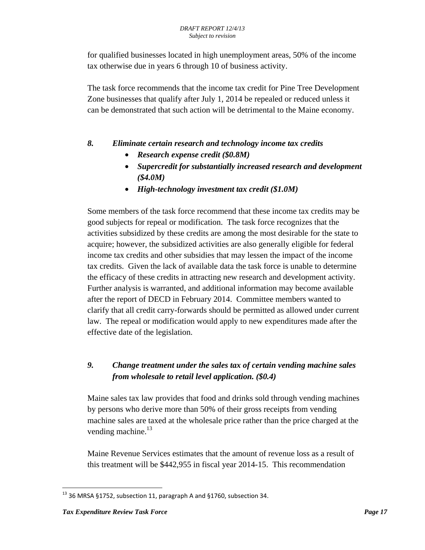for qualified businesses located in high unemployment areas, 50% of the income tax otherwise due in years 6 through 10 of business activity.

The task force recommends that the income tax credit for Pine Tree Development Zone businesses that qualify after July 1, 2014 be repealed or reduced unless it can be demonstrated that such action will be detrimental to the Maine economy.

## *8. Eliminate certain research and technology income tax credits*

- *Research expense credit (\$0.8M)*
- *Supercredit for substantially increased research and development (\$4.0M)*
- *High-technology investment tax credit (\$1.0M)*

Some members of the task force recommend that these income tax credits may be good subjects for repeal or modification. The task force recognizes that the activities subsidized by these credits are among the most desirable for the state to acquire; however, the subsidized activities are also generally eligible for federal income tax credits and other subsidies that may lessen the impact of the income tax credits. Given the lack of available data the task force is unable to determine the efficacy of these credits in attracting new research and development activity. Further analysis is warranted, and additional information may become available after the report of DECD in February 2014. Committee members wanted to clarify that all credit carry-forwards should be permitted as allowed under current law. The repeal or modification would apply to new expenditures made after the effective date of the legislation.

## *9. Change treatment under the sales tax of certain vending machine sales from wholesale to retail level application. (\$0.4)*

 Maine sales tax law provides that food and drinks sold through vending machines by persons who derive more than 50% of their gross receipts from vending machine sales are taxed at the wholesale price rather than the price charged at the vending machine.<sup>13</sup>

 Maine Revenue Services estimates that the amount of revenue loss as a result of this treatment will be \$442,955 in fiscal year 2014-15. This recommendation

 $\overline{\phantom{a}}$  $^{13}$  36 MRSA §1752, subsection 11, paragraph A and §1760, subsection 34.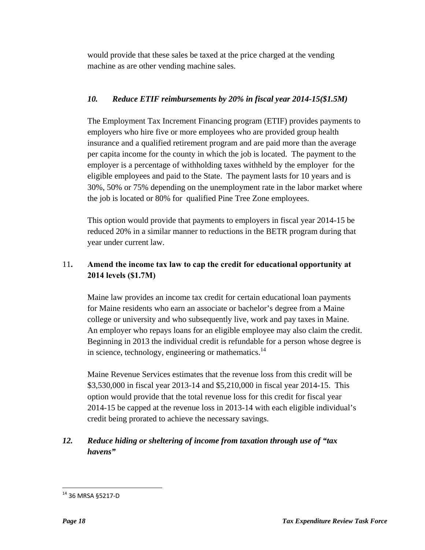would provide that these sales be taxed at the price charged at the vending machine as are other vending machine sales.

## *10. Reduce ETIF reimbursements by 20% in fiscal year 2014-15(\$1.5M)*

 The Employment Tax Increment Financing program (ETIF) provides payments to employers who hire five or more employees who are provided group health insurance and a qualified retirement program and are paid more than the average per capita income for the county in which the job is located. The payment to the employer is a percentage of withholding taxes withheld by the employer for the eligible employees and paid to the State. The payment lasts for 10 years and is 30%, 50% or 75% depending on the unemployment rate in the labor market where the job is located or 80% for qualified Pine Tree Zone employees.

 This option would provide that payments to employers in fiscal year 2014-15 be reduced 20% in a similar manner to reductions in the BETR program during that year under current law.

## 11**. Amend the income tax law to cap the credit for educational opportunity at 2014 levels (\$1.7M)**

 Maine law provides an income tax credit for certain educational loan payments for Maine residents who earn an associate or bachelor's degree from a Maine college or university and who subsequently live, work and pay taxes in Maine. An employer who repays loans for an eligible employee may also claim the credit. Beginning in 2013 the individual credit is refundable for a person whose degree is in science, technology, engineering or mathematics.<sup>14</sup>

 Maine Revenue Services estimates that the revenue loss from this credit will be \$3,530,000 in fiscal year 2013-14 and \$5,210,000 in fiscal year 2014-15. This option would provide that the total revenue loss for this credit for fiscal year 2014-15 be capped at the revenue loss in 2013-14 with each eligible individual's credit being prorated to achieve the necessary savings.

## *12. Reduce hiding or sheltering of income from taxation through use of "tax havens"*

 $\overline{\phantom{a}}$ 

<sup>14 36</sup> MRSA §5217-D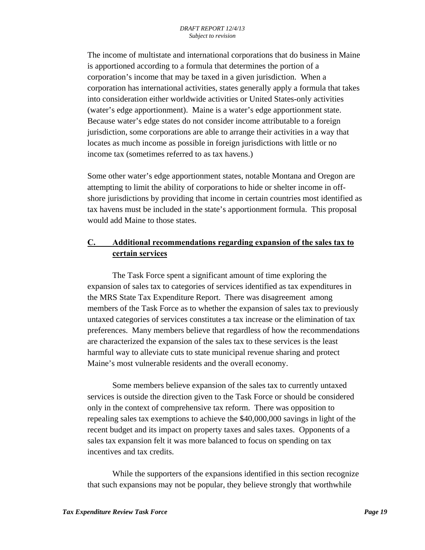The income of multistate and international corporations that do business in Maine is apportioned according to a formula that determines the portion of a corporation's income that may be taxed in a given jurisdiction. When a corporation has international activities, states generally apply a formula that takes into consideration either worldwide activities or United States-only activities (water's edge apportionment). Maine is a water's edge apportionment state. Because water's edge states do not consider income attributable to a foreign jurisdiction, some corporations are able to arrange their activities in a way that locates as much income as possible in foreign jurisdictions with little or no income tax (sometimes referred to as tax havens.)

Some other water's edge apportionment states, notable Montana and Oregon are attempting to limit the ability of corporations to hide or shelter income in offshore jurisdictions by providing that income in certain countries most identified as tax havens must be included in the state's apportionment formula. This proposal would add Maine to those states.

## **C. Additional recommendations regarding expansion of the sales tax to certain services**

 The Task Force spent a significant amount of time exploring the expansion of sales tax to categories of services identified as tax expenditures in the MRS State Tax Expenditure Report. There was disagreement among members of the Task Force as to whether the expansion of sales tax to previously untaxed categories of services constitutes a tax increase or the elimination of tax preferences. Many members believe that regardless of how the recommendations are characterized the expansion of the sales tax to these services is the least harmful way to alleviate cuts to state municipal revenue sharing and protect Maine's most vulnerable residents and the overall economy.

 Some members believe expansion of the sales tax to currently untaxed services is outside the direction given to the Task Force or should be considered only in the context of comprehensive tax reform. There was opposition to repealing sales tax exemptions to achieve the \$40,000,000 savings in light of the recent budget and its impact on property taxes and sales taxes. Opponents of a sales tax expansion felt it was more balanced to focus on spending on tax incentives and tax credits.

 While the supporters of the expansions identified in this section recognize that such expansions may not be popular, they believe strongly that worthwhile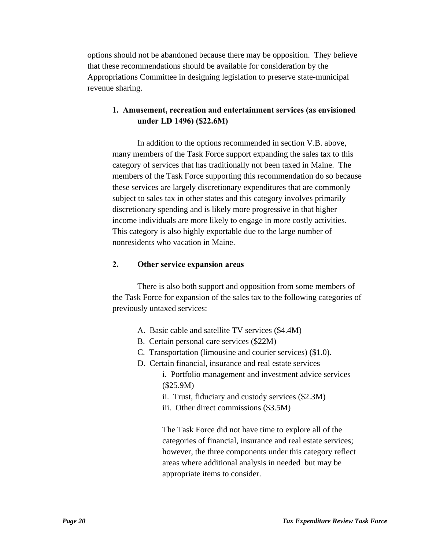options should not be abandoned because there may be opposition. They believe that these recommendations should be available for consideration by the Appropriations Committee in designing legislation to preserve state-municipal revenue sharing.

## **1. Amusement, recreation and entertainment services (as envisioned under LD 1496) (\$22.6M)**

 In addition to the options recommended in section V.B. above, many members of the Task Force support expanding the sales tax to this category of services that has traditionally not been taxed in Maine. The members of the Task Force supporting this recommendation do so because these services are largely discretionary expenditures that are commonly subject to sales tax in other states and this category involves primarily discretionary spending and is likely more progressive in that higher income individuals are more likely to engage in more costly activities. This category is also highly exportable due to the large number of nonresidents who vacation in Maine.

### **2. Other service expansion areas**

 There is also both support and opposition from some members of the Task Force for expansion of the sales tax to the following categories of previously untaxed services:

- A. Basic cable and satellite TV services (\$4.4M)
- B. Certain personal care services (\$22M)
- C. Transportation (limousine and courier services) (\$1.0).
- D. Certain financial, insurance and real estate services
	- i. Portfolio management and investment advice services (\$25.9M)
	- ii. Trust, fiduciary and custody services (\$2.3M)
	- iii. Other direct commissions (\$3.5M)

The Task Force did not have time to explore all of the categories of financial, insurance and real estate services; however, the three components under this category reflect areas where additional analysis in needed but may be appropriate items to consider.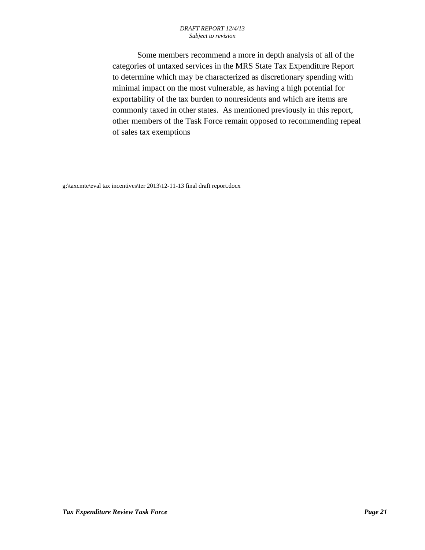#### *DRAFT REPORT 12/4/13 Subject to revision*

 Some members recommend a more in depth analysis of all of the categories of untaxed services in the MRS State Tax Expenditure Report to determine which may be characterized as discretionary spending with minimal impact on the most vulnerable, as having a high potential for exportability of the tax burden to nonresidents and which are items are commonly taxed in other states. As mentioned previously in this report, other members of the Task Force remain opposed to recommending repeal of sales tax exemptions

g:\taxcmte\eval tax incentives\ter 2013\12-11-13 final draft report.docx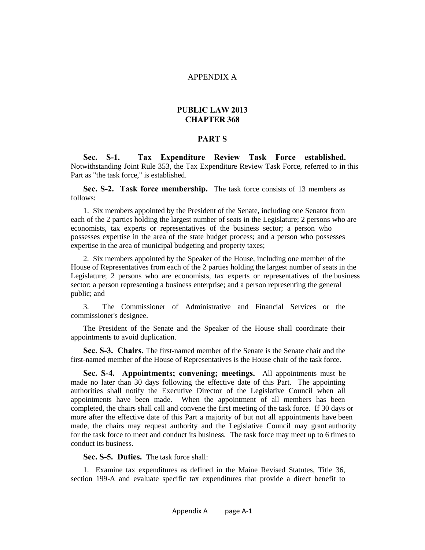#### APPENDIX A

#### **PUBLIC LAW 2013 CHAPTER 368**

#### **PART S**

**Sec. S-1. Tax Expenditure Review Task Force established.**  Notwithstanding Joint Rule 353, the Tax Expenditure Review Task Force, referred to in this Part as "the task force," is established.

**Sec. S-2. Task force membership.** The task force consists of 13 members as follows:

1. Six members appointed by the President of the Senate, including one Senator from each of the 2 parties holding the largest number of seats in the Legislature; 2 persons who are economists, tax experts or representatives of the business sector; a person who possesses expertise in the area of the state budget process; and a person who possesses expertise in the area of municipal budgeting and property taxes;

2. Six members appointed by the Speaker of the House, including one member of the House of Representatives from each of the 2 parties holding the largest number of seats in the Legislature; 2 persons who are economists, tax experts or representatives of the business sector; a person representing a business enterprise; and a person representing the general public; and

3. The Commissioner of Administrative and Financial Services or the commissioner's designee.

The President of the Senate and the Speaker of the House shall coordinate their appointments to avoid duplication.

**Sec. S-3. Chairs.** The first-named member of the Senate is the Senate chair and the first-named member of the House of Representatives is the House chair of the task force.

**Sec. S-4. Appointments; convening; meetings.** All appointments must be made no later than 30 days following the effective date of this Part. The appointing authorities shall notify the Executive Director of the Legislative Council when all appointments have been made. When the appointment of all members has been completed, the chairs shall call and convene the first meeting of the task force. If 30 days or more after the effective date of this Part a majority of but not all appointments have been made, the chairs may request authority and the Legislative Council may grant authority for the task force to meet and conduct its business. The task force may meet up to 6 times to conduct its business.

**Sec. S-5. Duties.** The task force shall:

1. Examine tax expenditures as defined in the Maine Revised Statutes, Title 36, section 199-A and evaluate specific tax expenditures that provide a direct benefit to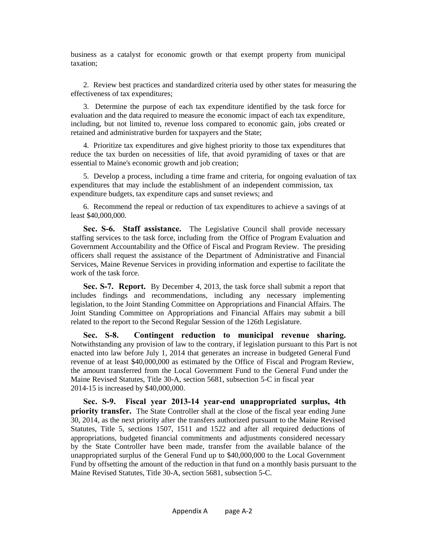business as a catalyst for economic growth or that exempt property from municipal taxation;

2. Review best practices and standardized criteria used by other states for measuring the effectiveness of tax expenditures;

3. Determine the purpose of each tax expenditure identified by the task force for evaluation and the data required to measure the economic impact of each tax expenditure, including, but not limited to, revenue loss compared to economic gain, jobs created or retained and administrative burden for taxpayers and the State;

4. Prioritize tax expenditures and give highest priority to those tax expenditures that reduce the tax burden on necessities of life, that avoid pyramiding of taxes or that are essential to Maine's economic growth and job creation;

5. Develop a process, including a time frame and criteria, for ongoing evaluation of tax expenditures that may include the establishment of an independent commission, tax expenditure budgets, tax expenditure caps and sunset reviews; and

6. Recommend the repeal or reduction of tax expenditures to achieve a savings of at least \$40,000,000.

**Sec. S-6. Staff assistance.** The Legislative Council shall provide necessary staffing services to the task force, including from the Office of Program Evaluation and Government Accountability and the Office of Fiscal and Program Review. The presiding officers shall request the assistance of the Department of Administrative and Financial Services, Maine Revenue Services in providing information and expertise to facilitate the work of the task force.

**Sec. S-7. Report.** By December 4, 2013, the task force shall submit a report that includes findings and recommendations, including any necessary implementing legislation, to the Joint Standing Committee on Appropriations and Financial Affairs. The Joint Standing Committee on Appropriations and Financial Affairs may submit a bill related to the report to the Second Regular Session of the 126th Legislature.

**Sec. S-8. Contingent reduction to municipal revenue sharing.**  Notwithstanding any provision of law to the contrary, if legislation pursuant to this Part is not enacted into law before July 1, 2014 that generates an increase in budgeted General Fund revenue of at least \$40,000,000 as estimated by the Office of Fiscal and Program Review, the amount transferred from the Local Government Fund to the General Fund under the Maine Revised Statutes, Title 30-A, section 5681, subsection 5-C in fiscal year 2014-15 is increased by \$40,000,000.

**Sec. S-9. Fiscal year 2013-14 year-end unappropriated surplus, 4th priority transfer.** The State Controller shall at the close of the fiscal year ending June 30, 2014, as the next priority after the transfers authorized pursuant to the Maine Revised Statutes, Title 5, sections 1507, 1511 and 1522 and after all required deductions of appropriations, budgeted financial commitments and adjustments considered necessary by the State Controller have been made, transfer from the available balance of the unappropriated surplus of the General Fund up to \$40,000,000 to the Local Government Fund by offsetting the amount of the reduction in that fund on a monthly basis pursuant to the Maine Revised Statutes, Title 30-A, section 5681, subsection 5-C.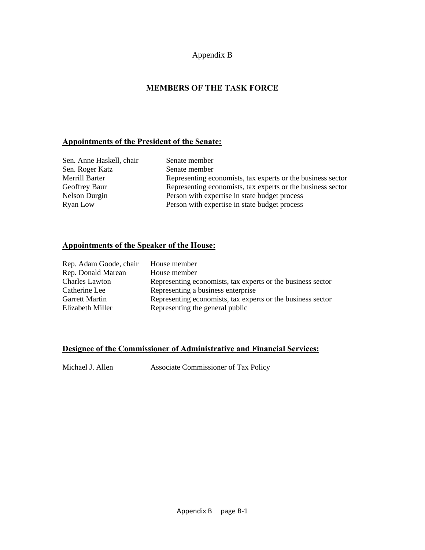### Appendix B

## **MEMBERS OF THE TASK FORCE**

#### **Appointments of the President of the Senate:**

| Sen. Anne Haskell, chair |
|--------------------------|
| Sen. Roger Katz          |
| Merrill Barter           |
| Geoffrey Baur            |
| Nelson Durgin            |
| Rvan Low                 |

Senate member Senate member Representing economists, tax experts or the business sector Representing economists, tax experts or the business sector Person with expertise in state budget process Ryan Low Person with expertise in state budget process

## **Appointments of the Speaker of the House:**

| Rep. Adam Goode, chair | House member                                                |
|------------------------|-------------------------------------------------------------|
| Rep. Donald Marean     | House member                                                |
| <b>Charles Lawton</b>  | Representing economists, tax experts or the business sector |
| Catherine Lee          | Representing a business enterprise                          |
| <b>Garrett Martin</b>  | Representing economists, tax experts or the business sector |
| Elizabeth Miller       | Representing the general public                             |

#### **Designee of the Commissioner of Administrative and Financial Services:**

Michael J. Allen Associate Commissioner of Tax Policy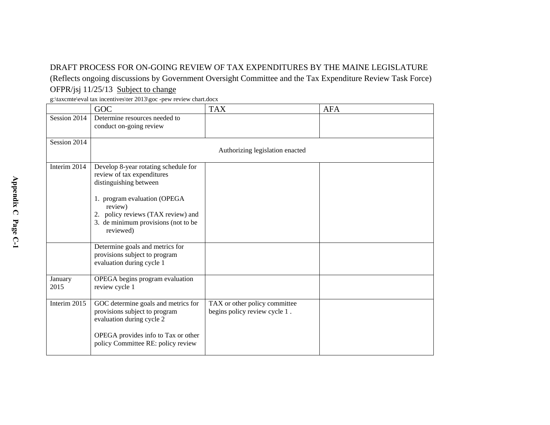## DRAFT PROCESS FOR ON-GOING REVIEW OF TAX EXPENDITURES BY THE MAINE LEGISLATURE

(Reflects ongoing discussions by Government Oversight Committee and the Tax Expenditure Review Task Force) OFPR/jsj 11/25/13 Subject to change

g:\taxcmte\eval tax incentives\ter 2013\goc -pew review chart.docx

|                 | GOC                                                                                                                                                                                                                               | <b>TAX</b>                                                     | <b>AFA</b> |
|-----------------|-----------------------------------------------------------------------------------------------------------------------------------------------------------------------------------------------------------------------------------|----------------------------------------------------------------|------------|
| Session 2014    | Determine resources needed to<br>conduct on-going review                                                                                                                                                                          |                                                                |            |
| Session 2014    |                                                                                                                                                                                                                                   | Authorizing legislation enacted                                |            |
| Interim 2014    | Develop 8-year rotating schedule for<br>review of tax expenditures<br>distinguishing between<br>1. program evaluation (OPEGA<br>review)<br>2. policy reviews (TAX review) and<br>3. de minimum provisions (not to be<br>reviewed) |                                                                |            |
|                 | Determine goals and metrics for<br>provisions subject to program<br>evaluation during cycle 1                                                                                                                                     |                                                                |            |
| January<br>2015 | OPEGA begins program evaluation<br>review cycle 1                                                                                                                                                                                 |                                                                |            |
| Interim 2015    | GOC determine goals and metrics for<br>provisions subject to program<br>evaluation during cycle 2<br>OPEGA provides info to Tax or other<br>policy Committee RE: policy review                                                    | TAX or other policy committee<br>begins policy review cycle 1. |            |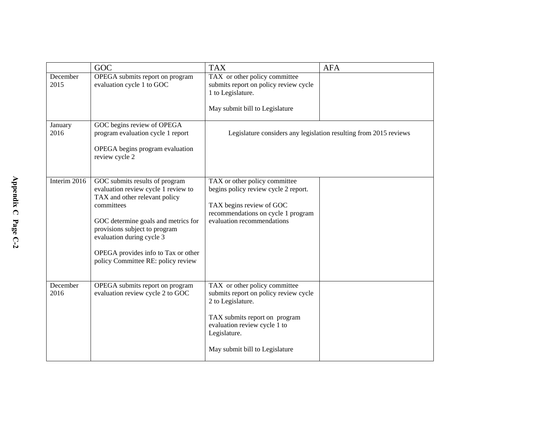|                  | GOC                                                                                                                                                                                                                                                                                                    | <b>TAX</b>                                                                                                                                                                                                     | <b>AFA</b>                                                        |
|------------------|--------------------------------------------------------------------------------------------------------------------------------------------------------------------------------------------------------------------------------------------------------------------------------------------------------|----------------------------------------------------------------------------------------------------------------------------------------------------------------------------------------------------------------|-------------------------------------------------------------------|
| December<br>2015 | OPEGA submits report on program<br>evaluation cycle 1 to GOC                                                                                                                                                                                                                                           | TAX or other policy committee<br>submits report on policy review cycle<br>1 to Legislature.                                                                                                                    |                                                                   |
|                  |                                                                                                                                                                                                                                                                                                        | May submit bill to Legislature                                                                                                                                                                                 |                                                                   |
| January<br>2016  | GOC begins review of OPEGA<br>program evaluation cycle 1 report<br>OPEGA begins program evaluation<br>review cycle 2                                                                                                                                                                                   |                                                                                                                                                                                                                | Legislature considers any legislation resulting from 2015 reviews |
| Interim 2016     | GOC submits results of program<br>evaluation review cycle 1 review to<br>TAX and other relevant policy<br>committees<br>GOC determine goals and metrics for<br>provisions subject to program<br>evaluation during cycle 3<br>OPEGA provides info to Tax or other<br>policy Committee RE: policy review | TAX or other policy committee<br>begins policy review cycle 2 report.<br>TAX begins review of GOC<br>recommendations on cycle 1 program<br>evaluation recommendations                                          |                                                                   |
| December<br>2016 | OPEGA submits report on program<br>evaluation review cycle 2 to GOC                                                                                                                                                                                                                                    | TAX or other policy committee<br>submits report on policy review cycle<br>2 to Legislature.<br>TAX submits report on program<br>evaluation review cycle 1 to<br>Legislature.<br>May submit bill to Legislature |                                                                   |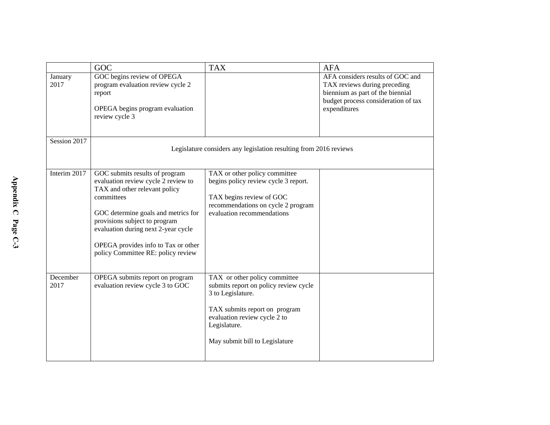|                  | GOC                                                                                                                                                                                                                                                                                                              | <b>TAX</b>                                                                                                                                                                                                     | <b>AFA</b>                                                                                                                                                  |
|------------------|------------------------------------------------------------------------------------------------------------------------------------------------------------------------------------------------------------------------------------------------------------------------------------------------------------------|----------------------------------------------------------------------------------------------------------------------------------------------------------------------------------------------------------------|-------------------------------------------------------------------------------------------------------------------------------------------------------------|
| January<br>2017  | GOC begins review of OPEGA<br>program evaluation review cycle 2<br>report<br>OPEGA begins program evaluation<br>review cycle 3                                                                                                                                                                                   |                                                                                                                                                                                                                | AFA considers results of GOC and<br>TAX reviews during preceding<br>biennium as part of the biennial<br>budget process consideration of tax<br>expenditures |
| Session 2017     |                                                                                                                                                                                                                                                                                                                  | Legislature considers any legislation resulting from 2016 reviews                                                                                                                                              |                                                                                                                                                             |
| Interim 2017     | GOC submits results of program<br>evaluation review cycle 2 review to<br>TAX and other relevant policy<br>committees<br>GOC determine goals and metrics for<br>provisions subject to program<br>evaluation during next 2-year cycle<br>OPEGA provides info to Tax or other<br>policy Committee RE: policy review | TAX or other policy committee<br>begins policy review cycle 3 report.<br>TAX begins review of GOC<br>recommendations on cycle 2 program<br>evaluation recommendations                                          |                                                                                                                                                             |
| December<br>2017 | OPEGA submits report on program<br>evaluation review cycle 3 to GOC                                                                                                                                                                                                                                              | TAX or other policy committee<br>submits report on policy review cycle<br>3 to Legislature.<br>TAX submits report on program<br>evaluation review cycle 2 to<br>Legislature.<br>May submit bill to Legislature |                                                                                                                                                             |